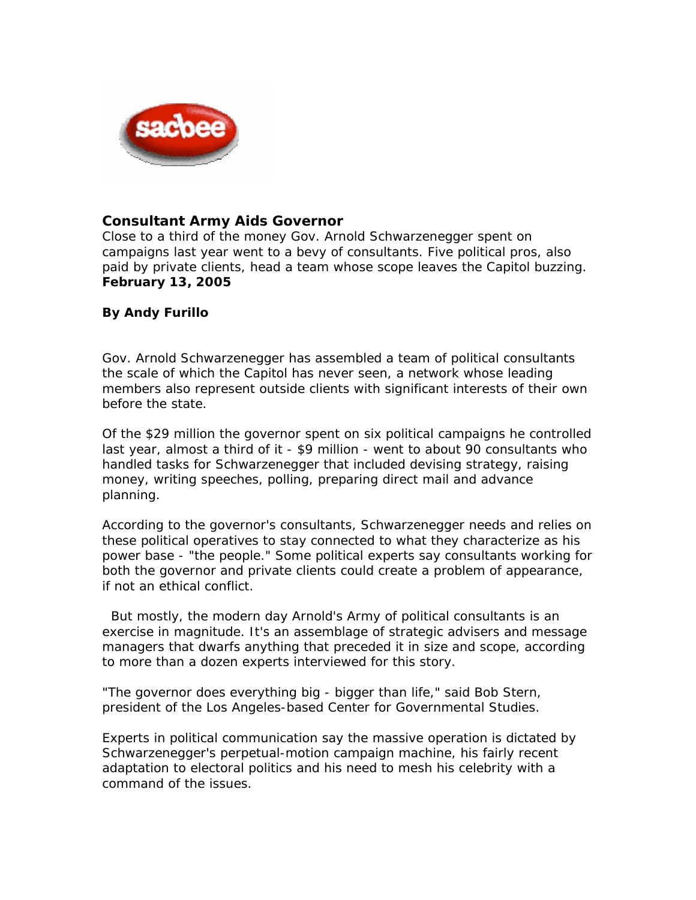

## **Consultant Army Aids Governor**

Close to a third of the money Gov. Arnold Schwarzenegger spent on campaigns last year went to a bevy of consultants. Five political pros, also paid by private clients, head a team whose scope leaves the Capitol buzzing. **February 13, 2005** 

## **By Andy Furillo**

Gov. Arnold Schwarzenegger has assembled a team of political consultants the scale of which the Capitol has never seen, a network whose leading members also represent outside clients with significant interests of their own before the state.

Of the \$29 million the governor spent on six political campaigns he controlled last year, almost a third of it - \$9 million - went to about 90 consultants who handled tasks for Schwarzenegger that included devising strategy, raising money, writing speeches, polling, preparing direct mail and advance planning.

According to the governor's consultants, Schwarzenegger needs and relies on these political operatives to stay connected to what they characterize as his power base - "the people." Some political experts say consultants working for both the governor and private clients could create a problem of appearance, if not an ethical conflict.

 But mostly, the modern day Arnold's Army of political consultants is an exercise in magnitude. It's an assemblage of strategic advisers and message managers that dwarfs anything that preceded it in size and scope, according to more than a dozen experts interviewed for this story.

"The governor does everything big - bigger than life," said Bob Stern, president of the Los Angeles-based Center for Governmental Studies.

Experts in political communication say the massive operation is dictated by Schwarzenegger's perpetual-motion campaign machine, his fairly recent adaptation to electoral politics and his need to mesh his celebrity with a command of the issues.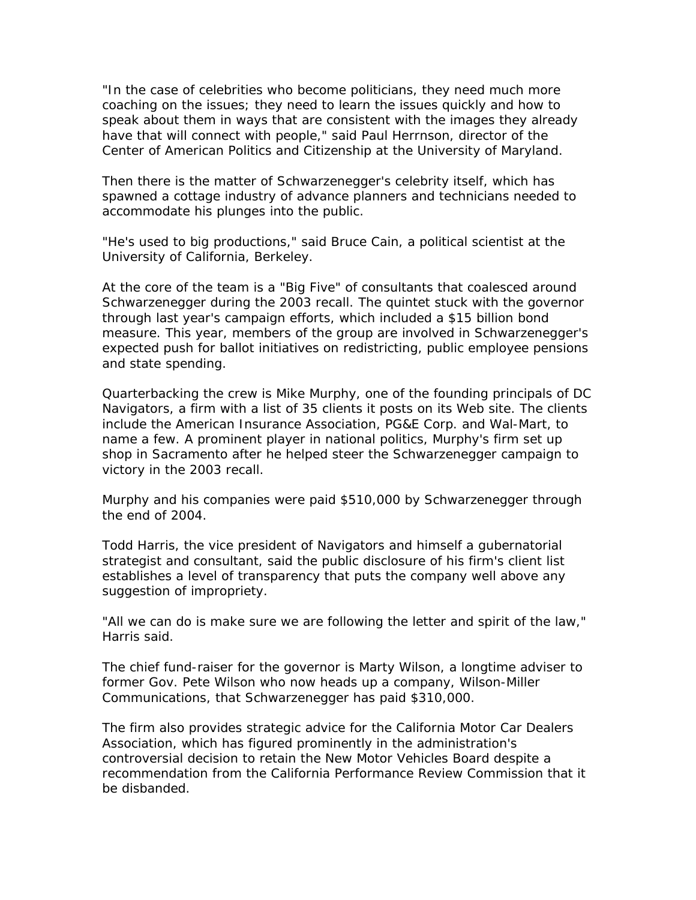"In the case of celebrities who become politicians, they need much more coaching on the issues; they need to learn the issues quickly and how to speak about them in ways that are consistent with the images they already have that will connect with people," said Paul Herrnson, director of the Center of American Politics and Citizenship at the University of Maryland.

Then there is the matter of Schwarzenegger's celebrity itself, which has spawned a cottage industry of advance planners and technicians needed to accommodate his plunges into the public.

"He's used to big productions," said Bruce Cain, a political scientist at the University of California, Berkeley.

At the core of the team is a "Big Five" of consultants that coalesced around Schwarzenegger during the 2003 recall. The quintet stuck with the governor through last year's campaign efforts, which included a \$15 billion bond measure. This year, members of the group are involved in Schwarzenegger's expected push for ballot initiatives on redistricting, public employee pensions and state spending.

Quarterbacking the crew is Mike Murphy, one of the founding principals of DC Navigators, a firm with a list of 35 clients it posts on its Web site. The clients include the American Insurance Association, PG&E Corp. and Wal-Mart, to name a few. A prominent player in national politics, Murphy's firm set up shop in Sacramento after he helped steer the Schwarzenegger campaign to victory in the 2003 recall.

Murphy and his companies were paid \$510,000 by Schwarzenegger through the end of 2004.

Todd Harris, the vice president of Navigators and himself a gubernatorial strategist and consultant, said the public disclosure of his firm's client list establishes a level of transparency that puts the company well above any suggestion of impropriety.

"All we can do is make sure we are following the letter and spirit of the law," Harris said.

The chief fund-raiser for the governor is Marty Wilson, a longtime adviser to former Gov. Pete Wilson who now heads up a company, Wilson-Miller Communications, that Schwarzenegger has paid \$310,000.

The firm also provides strategic advice for the California Motor Car Dealers Association, which has figured prominently in the administration's controversial decision to retain the New Motor Vehicles Board despite a recommendation from the California Performance Review Commission that it be disbanded.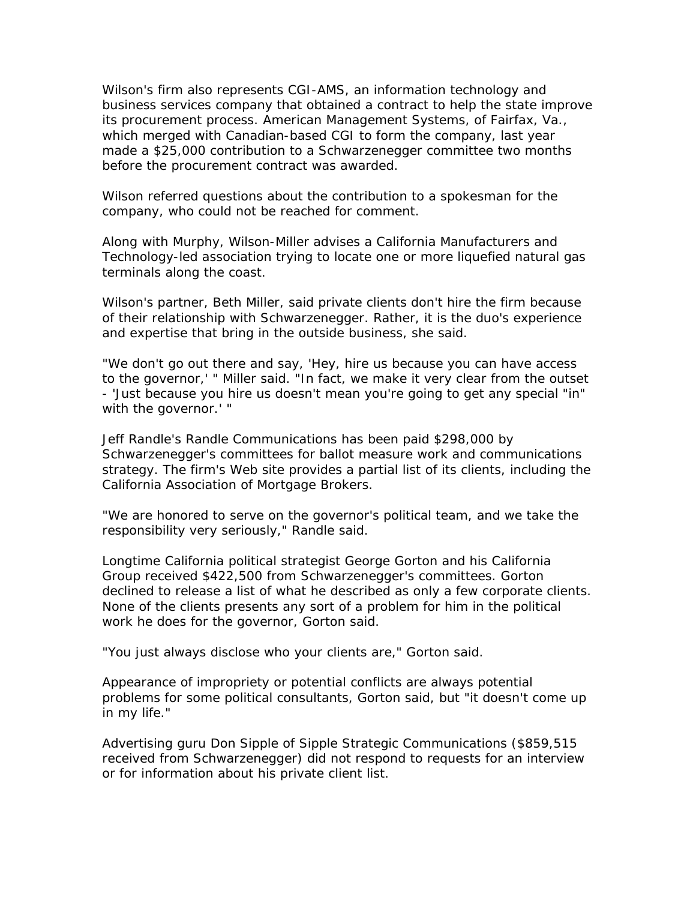Wilson's firm also represents CGI-AMS, an information technology and business services company that obtained a contract to help the state improve its procurement process. American Management Systems, of Fairfax, Va., which merged with Canadian-based CGI to form the company, last year made a \$25,000 contribution to a Schwarzenegger committee two months before the procurement contract was awarded.

Wilson referred questions about the contribution to a spokesman for the company, who could not be reached for comment.

Along with Murphy, Wilson-Miller advises a California Manufacturers and Technology-led association trying to locate one or more liquefied natural gas terminals along the coast.

Wilson's partner, Beth Miller, said private clients don't hire the firm because of their relationship with Schwarzenegger. Rather, it is the duo's experience and expertise that bring in the outside business, she said.

"We don't go out there and say, 'Hey, hire us because you can have access to the governor,' " Miller said. "In fact, we make it very clear from the outset - 'Just because you hire us doesn't mean you're going to get any special "in" with the governor.' "

Jeff Randle's Randle Communications has been paid \$298,000 by Schwarzenegger's committees for ballot measure work and communications strategy. The firm's Web site provides a partial list of its clients, including the California Association of Mortgage Brokers.

"We are honored to serve on the governor's political team, and we take the responsibility very seriously," Randle said.

Longtime California political strategist George Gorton and his California Group received \$422,500 from Schwarzenegger's committees. Gorton declined to release a list of what he described as only a few corporate clients. None of the clients presents any sort of a problem for him in the political work he does for the governor, Gorton said.

"You just always disclose who your clients are," Gorton said.

Appearance of impropriety or potential conflicts are always potential problems for some political consultants, Gorton said, but "it doesn't come up in my life."

Advertising guru Don Sipple of Sipple Strategic Communications (\$859,515 received from Schwarzenegger) did not respond to requests for an interview or for information about his private client list.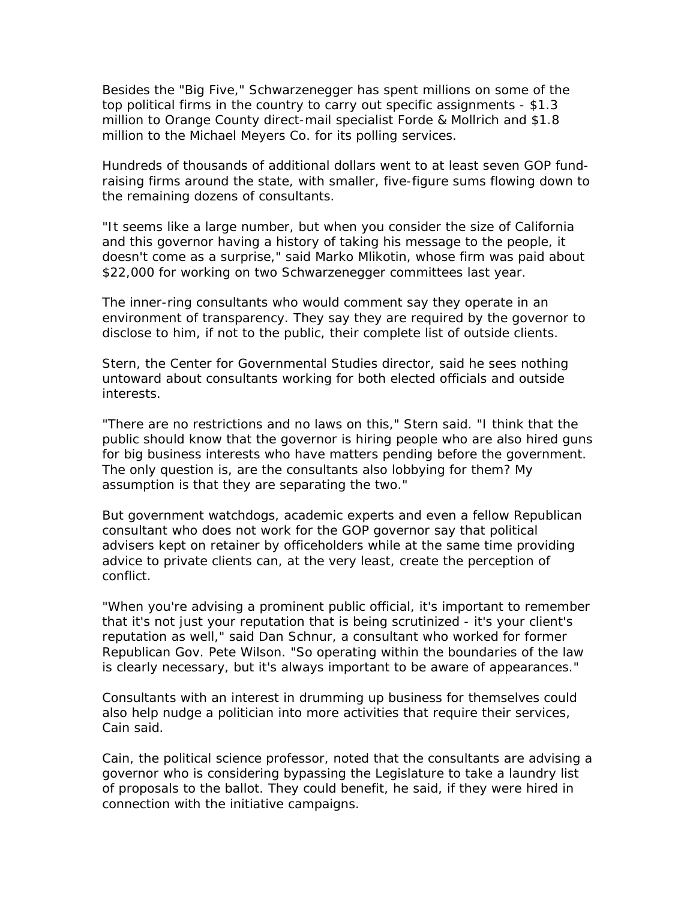Besides the "Big Five," Schwarzenegger has spent millions on some of the top political firms in the country to carry out specific assignments - \$1.3 million to Orange County direct-mail specialist Forde & Mollrich and \$1.8 million to the Michael Meyers Co. for its polling services.

Hundreds of thousands of additional dollars went to at least seven GOP fundraising firms around the state, with smaller, five-figure sums flowing down to the remaining dozens of consultants.

"It seems like a large number, but when you consider the size of California and this governor having a history of taking his message to the people, it doesn't come as a surprise," said Marko Mlikotin, whose firm was paid about \$22,000 for working on two Schwarzenegger committees last year.

The inner-ring consultants who would comment say they operate in an environment of transparency. They say they are required by the governor to disclose to him, if not to the public, their complete list of outside clients.

Stern, the Center for Governmental Studies director, said he sees nothing untoward about consultants working for both elected officials and outside interests.

"There are no restrictions and no laws on this," Stern said. "I think that the public should know that the governor is hiring people who are also hired guns for big business interests who have matters pending before the government. The only question is, are the consultants also lobbying for them? My assumption is that they are separating the two."

But government watchdogs, academic experts and even a fellow Republican consultant who does not work for the GOP governor say that political advisers kept on retainer by officeholders while at the same time providing advice to private clients can, at the very least, create the perception of conflict.

"When you're advising a prominent public official, it's important to remember that it's not just your reputation that is being scrutinized - it's your client's reputation as well," said Dan Schnur, a consultant who worked for former Republican Gov. Pete Wilson. "So operating within the boundaries of the law is clearly necessary, but it's always important to be aware of appearances."

Consultants with an interest in drumming up business for themselves could also help nudge a politician into more activities that require their services, Cain said.

Cain, the political science professor, noted that the consultants are advising a governor who is considering bypassing the Legislature to take a laundry list of proposals to the ballot. They could benefit, he said, if they were hired in connection with the initiative campaigns.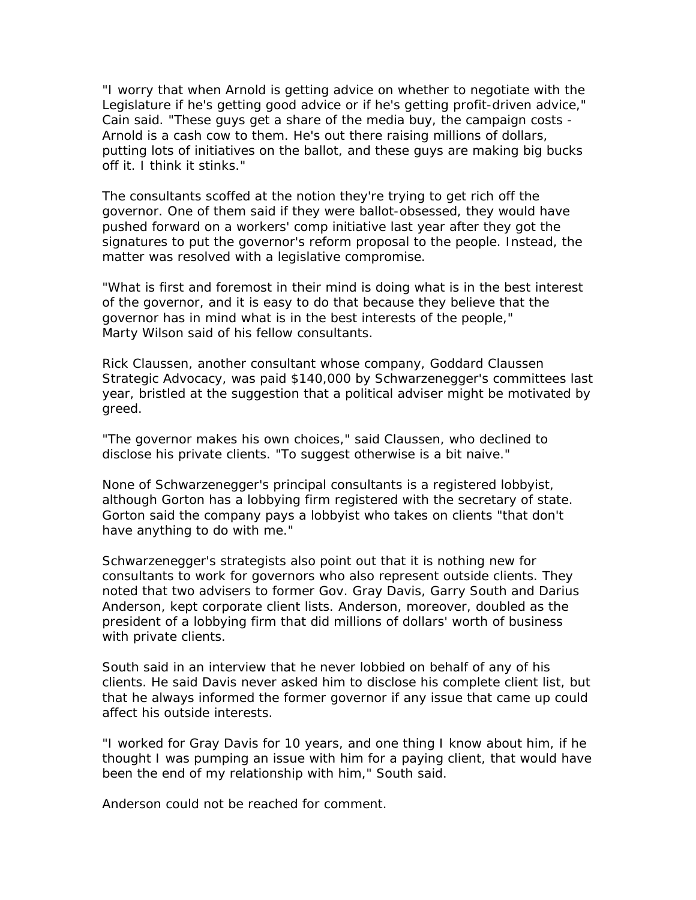"I worry that when Arnold is getting advice on whether to negotiate with the Legislature if he's getting good advice or if he's getting profit-driven advice," Cain said. "These guys get a share of the media buy, the campaign costs - Arnold is a cash cow to them. He's out there raising millions of dollars, putting lots of initiatives on the ballot, and these guys are making big bucks off it. I think it stinks."

The consultants scoffed at the notion they're trying to get rich off the governor. One of them said if they were ballot-obsessed, they would have pushed forward on a workers' comp initiative last year after they got the signatures to put the governor's reform proposal to the people. Instead, the matter was resolved with a legislative compromise.

"What is first and foremost in their mind is doing what is in the best interest of the governor, and it is easy to do that because they believe that the governor has in mind what is in the best interests of the people," Marty Wilson said of his fellow consultants.

Rick Claussen, another consultant whose company, Goddard Claussen Strategic Advocacy, was paid \$140,000 by Schwarzenegger's committees last year, bristled at the suggestion that a political adviser might be motivated by greed.

"The governor makes his own choices," said Claussen, who declined to disclose his private clients. "To suggest otherwise is a bit naive."

None of Schwarzenegger's principal consultants is a registered lobbyist, although Gorton has a lobbying firm registered with the secretary of state. Gorton said the company pays a lobbyist who takes on clients "that don't have anything to do with me."

Schwarzenegger's strategists also point out that it is nothing new for consultants to work for governors who also represent outside clients. They noted that two advisers to former Gov. Gray Davis, Garry South and Darius Anderson, kept corporate client lists. Anderson, moreover, doubled as the president of a lobbying firm that did millions of dollars' worth of business with private clients.

South said in an interview that he never lobbied on behalf of any of his clients. He said Davis never asked him to disclose his complete client list, but that he always informed the former governor if any issue that came up could affect his outside interests.

"I worked for Gray Davis for 10 years, and one thing I know about him, if he thought I was pumping an issue with him for a paying client, that would have been the end of my relationship with him," South said.

Anderson could not be reached for comment.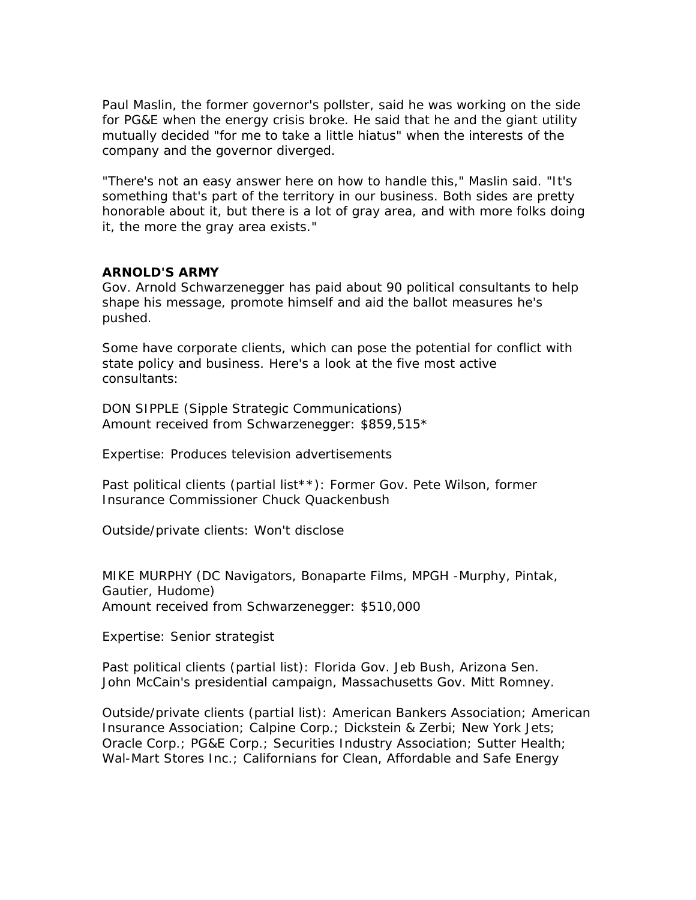Paul Maslin, the former governor's pollster, said he was working on the side for PG&E when the energy crisis broke. He said that he and the giant utility mutually decided "for me to take a little hiatus" when the interests of the company and the governor diverged.

"There's not an easy answer here on how to handle this," Maslin said. "It's something that's part of the territory in our business. Both sides are pretty honorable about it, but there is a lot of gray area, and with more folks doing it, the more the gray area exists."

## **ARNOLD'S ARMY**

Gov. Arnold Schwarzenegger has paid about 90 political consultants to help shape his message, promote himself and aid the ballot measures he's pushed.

Some have corporate clients, which can pose the potential for conflict with state policy and business. Here's a look at the five most active consultants:

DON SIPPLE (Sipple Strategic Communications) Amount received from Schwarzenegger: \$859,515\*

Expertise: Produces television advertisements

Past political clients (partial list\*\*): Former Gov. Pete Wilson, former Insurance Commissioner Chuck Quackenbush

Outside/private clients: Won't disclose

MIKE MURPHY (DC Navigators, Bonaparte Films, MPGH -Murphy, Pintak, Gautier, Hudome) Amount received from Schwarzenegger: \$510,000

Expertise: Senior strategist

Past political clients (partial list): Florida Gov. Jeb Bush, Arizona Sen. John McCain's presidential campaign, Massachusetts Gov. Mitt Romney.

Outside/private clients (partial list): American Bankers Association; American Insurance Association; Calpine Corp.; Dickstein & Zerbi; New York Jets; Oracle Corp.; PG&E Corp.; Securities Industry Association; Sutter Health; Wal-Mart Stores Inc.; Californians for Clean, Affordable and Safe Energy